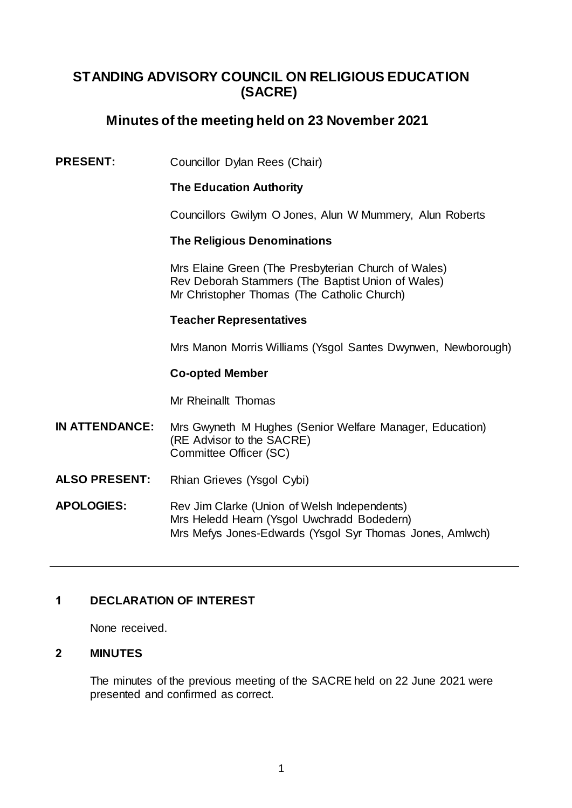# **STANDING ADVISORY COUNCIL ON RELIGIOUS EDUCATION (SACRE)**

# **Minutes of the meeting held on 23 November 2021**

# **PRESENT:** Councillor Dylan Rees (Chair)

## **The Education Authority**

Councillors Gwilym O Jones, Alun W Mummery, Alun Roberts

### **The Religious Denominations**

Mrs Elaine Green (The Presbyterian Church of Wales) Rev Deborah Stammers (The Baptist Union of Wales) Mr Christopher Thomas (The Catholic Church)

### **Teacher Representatives**

Mrs Manon Morris Williams (Ysgol Santes Dwynwen, Newborough)

#### **Co-opted Member**

Mr Rheinallt Thomas

- **IN ATTENDANCE:** Mrs Gwyneth M Hughes (Senior Welfare Manager, Education) (RE Advisor to the SACRE) Committee Officer (SC)
- **ALSO PRESENT:**  Rhian Grieves (Ysgol Cybi)
- **APOLOGIES:** Rev Jim Clarke (Union of Welsh Independents) Mrs Heledd Hearn (Ysgol Uwchradd Bodedern) Mrs Mefys Jones-Edwards (Ysgol Syr Thomas Jones, Amlwch)

# **1 DECLARATION OF INTEREST**

None received.

#### **2 MINUTES**

The minutes of the previous meeting of the SACRE held on 22 June 2021 were presented and confirmed as correct.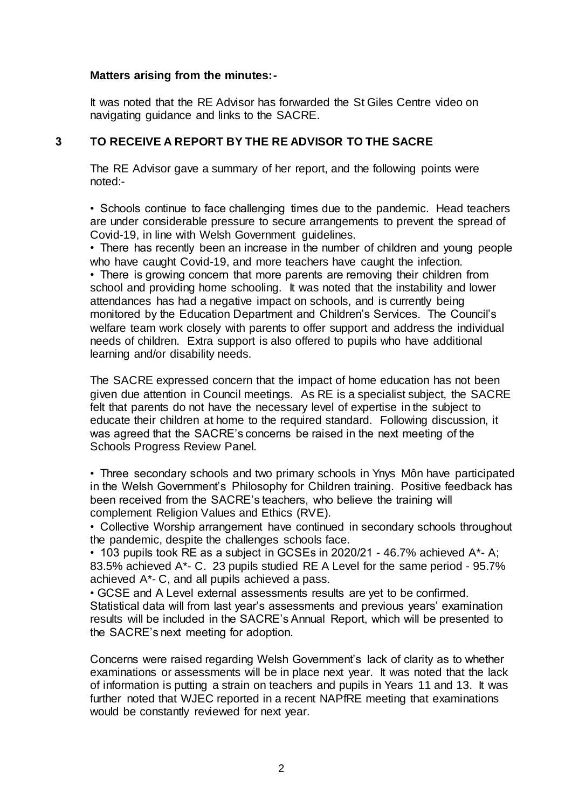## **Matters arising from the minutes:-**

It was noted that the RE Advisor has forwarded the St Giles Centre video on navigating guidance and links to the SACRE.

# **3 TO RECEIVE A REPORT BY THE RE ADVISOR TO THE SACRE**

The RE Advisor gave a summary of her report, and the following points were noted:-

• Schools continue to face challenging times due to the pandemic. Head teachers are under considerable pressure to secure arrangements to prevent the spread of Covid-19, in line with Welsh Government guidelines.

• There has recently been an increase in the number of children and young people who have caught Covid-19, and more teachers have caught the infection.

• There is growing concern that more parents are removing their children from school and providing home schooling. It was noted that the instability and lower attendances has had a negative impact on schools, and is currently being monitored by the Education Department and Children's Services. The Council's welfare team work closely with parents to offer support and address the individual needs of children. Extra support is also offered to pupils who have additional learning and/or disability needs.

The SACRE expressed concern that the impact of home education has not been given due attention in Council meetings. As RE is a specialist subject, the SACRE felt that parents do not have the necessary level of expertise in the subject to educate their children at home to the required standard. Following discussion, it was agreed that the SACRE's concerns be raised in the next meeting of the Schools Progress Review Panel.

• Three secondary schools and two primary schools in Ynys Môn have participated in the Welsh Government's Philosophy for Children training. Positive feedback has been received from the SACRE's teachers, who believe the training will complement Religion Values and Ethics (RVE).

• Collective Worship arrangement have continued in secondary schools throughout the pandemic, despite the challenges schools face.

• 103 pupils took RE as a subject in GCSEs in 2020/21 - 46.7% achieved A\*- A; 83.5% achieved A\*- C. 23 pupils studied RE A Level for the same period - 95.7% achieved A\*- C, and all pupils achieved a pass.

• GCSE and A Level external assessments results are yet to be confirmed. Statistical data will from last year's assessments and previous years' examination results will be included in the SACRE's Annual Report, which will be presented to the SACRE's next meeting for adoption.

Concerns were raised regarding Welsh Government's lack of clarity as to whether examinations or assessments will be in place next year. It was noted that the lack of information is putting a strain on teachers and pupils in Years 11 and 13. It was further noted that WJEC reported in a recent NAPfRE meeting that examinations would be constantly reviewed for next year.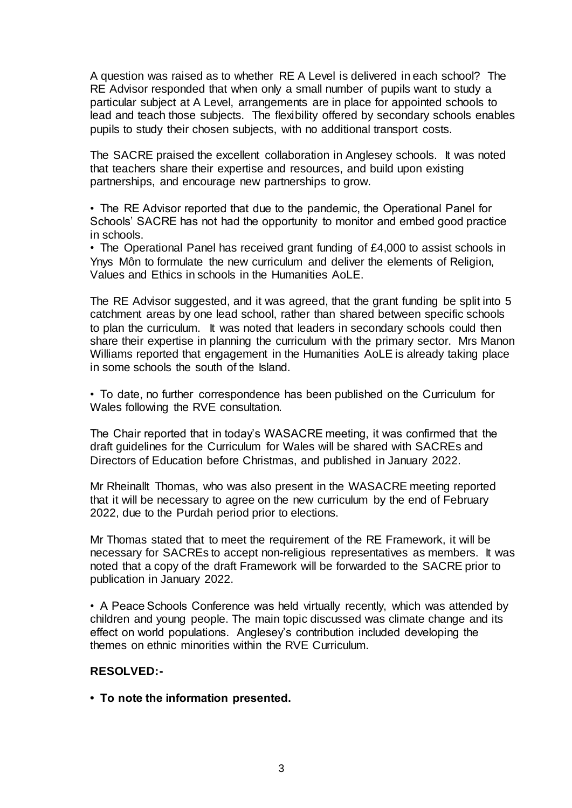A question was raised as to whether RE A Level is delivered in each school? The RE Advisor responded that when only a small number of pupils want to study a particular subject at A Level, arrangements are in place for appointed schools to lead and teach those subjects. The flexibility offered by secondary schools enables pupils to study their chosen subjects, with no additional transport costs.

The SACRE praised the excellent collaboration in Anglesey schools. It was noted that teachers share their expertise and resources, and build upon existing partnerships, and encourage new partnerships to grow.

• The RE Advisor reported that due to the pandemic, the Operational Panel for Schools' SACRE has not had the opportunity to monitor and embed good practice in schools.

• The Operational Panel has received grant funding of £4,000 to assist schools in Ynys Môn to formulate the new curriculum and deliver the elements of Religion, Values and Ethics in schools in the Humanities AoLE.

The RE Advisor suggested, and it was agreed, that the grant funding be split into 5 catchment areas by one lead school, rather than shared between specific schools to plan the curriculum. It was noted that leaders in secondary schools could then share their expertise in planning the curriculum with the primary sector. Mrs Manon Williams reported that engagement in the Humanities AoLE is already taking place in some schools the south of the Island.

• To date, no further correspondence has been published on the Curriculum for Wales following the RVE consultation.

The Chair reported that in today's WASACRE meeting, it was confirmed that the draft guidelines for the Curriculum for Wales will be shared with SACREs and Directors of Education before Christmas, and published in January 2022.

Mr Rheinallt Thomas, who was also present in the WASACRE meeting reported that it will be necessary to agree on the new curriculum by the end of February 2022, due to the Purdah period prior to elections.

Mr Thomas stated that to meet the requirement of the RE Framework, it will be necessary for SACREs to accept non-religious representatives as members. It was noted that a copy of the draft Framework will be forwarded to the SACRE prior to publication in January 2022.

• A Peace Schools Conference was held virtually recently, which was attended by children and young people. The main topic discussed was climate change and its effect on world populations. Anglesey's contribution included developing the themes on ethnic minorities within the RVE Curriculum.

# **RESOLVED:-**

**• To note the information presented.**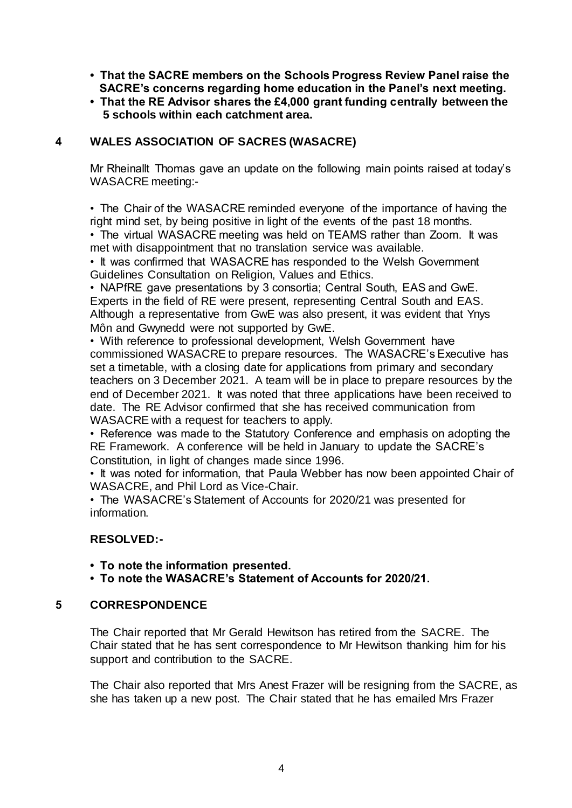- **That the SACRE members on the Schools Progress Review Panel raise the SACRE's concerns regarding home education in the Panel's next meeting.**
- **That the RE Advisor shares the £4,000 grant funding centrally between the 5 schools within each catchment area.**

# **4 WALES ASSOCIATION OF SACRES (WASACRE)**

Mr Rheinallt Thomas gave an update on the following main points raised at today's WASACRE meeting:-

• The Chair of the WASACRE reminded everyone of the importance of having the right mind set, by being positive in light of the events of the past 18 months.

• The virtual WASACRE meeting was held on TEAMS rather than Zoom. It was met with disappointment that no translation service was available.

• It was confirmed that WASACRE has responded to the Welsh Government Guidelines Consultation on Religion, Values and Ethics.

• NAPfRE gave presentations by 3 consortia; Central South, EAS and GwE. Experts in the field of RE were present, representing Central South and EAS. Although a representative from GwE was also present, it was evident that Ynys Môn and Gwynedd were not supported by GwE.

• With reference to professional development, Welsh Government have commissioned WASACRE to prepare resources. The WASACRE's Executive has set a timetable, with a closing date for applications from primary and secondary teachers on 3 December 2021. A team will be in place to prepare resources by the end of December 2021. It was noted that three applications have been received to date. The RE Advisor confirmed that she has received communication from WASACRE with a request for teachers to apply.

• Reference was made to the Statutory Conference and emphasis on adopting the RE Framework. A conference will be held in January to update the SACRE's Constitution, in light of changes made since 1996.

• It was noted for information, that Paula Webber has now been appointed Chair of WASACRE, and Phil Lord as Vice-Chair.

• The WASACRE's Statement of Accounts for 2020/21 was presented for information.

# **RESOLVED:-**

- **To note the information presented.**
- **To note the WASACRE's Statement of Accounts for 2020/21.**

# **5 CORRESPONDENCE**

The Chair reported that Mr Gerald Hewitson has retired from the SACRE. The Chair stated that he has sent correspondence to Mr Hewitson thanking him for his support and contribution to the SACRE.

The Chair also reported that Mrs Anest Frazer will be resigning from the SACRE, as she has taken up a new post. The Chair stated that he has emailed Mrs Frazer